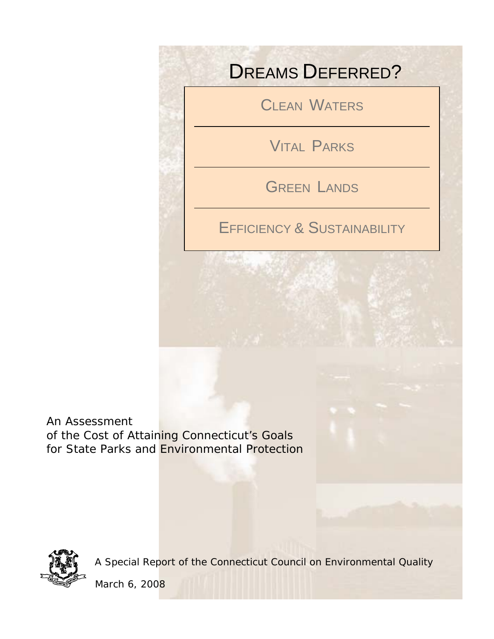# DREAMS DEFERRED?

CLEAN WATERS

VITAL PARKS

GREEN LANDS

EFFICIENCY & SUSTAINABILITY

An Assessment of the Cost of Attaining Connecticut's Goals for State Parks and Environmental Protection



A Special Report of the Connecticut Council on Environmental Quality

March 6, 2008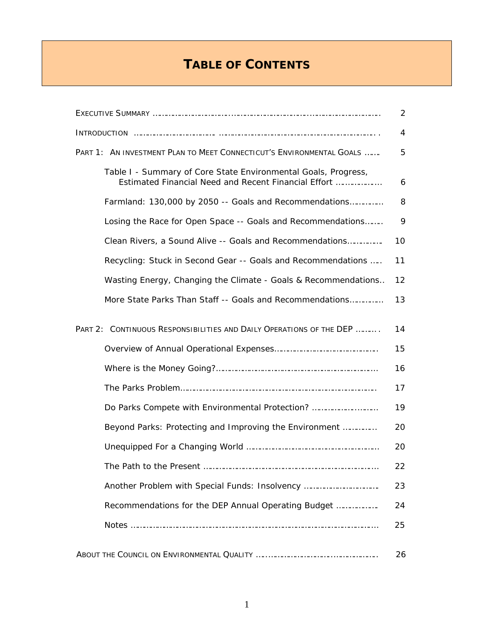# **TABLE OF CONTENTS**

| PART 1: AN INVESTMENT PLAN TO MEET CONNECTICUT'S ENVIRONMENTAL GOALS |                                                                                                                        |    |  |  |
|----------------------------------------------------------------------|------------------------------------------------------------------------------------------------------------------------|----|--|--|
|                                                                      | Table I - Summary of Core State Environmental Goals, Progress,<br>Estimated Financial Need and Recent Financial Effort | 6  |  |  |
|                                                                      | Farmland: 130,000 by 2050 -- Goals and Recommendations                                                                 | 8  |  |  |
|                                                                      | Losing the Race for Open Space -- Goals and Recommendations                                                            | 9  |  |  |
|                                                                      | Clean Rivers, a Sound Alive -- Goals and Recommendations                                                               | 10 |  |  |
|                                                                      | Recycling: Stuck in Second Gear -- Goals and Recommendations                                                           | 11 |  |  |
|                                                                      | Wasting Energy, Changing the Climate - Goals & Recommendations                                                         | 12 |  |  |
|                                                                      | More State Parks Than Staff -- Goals and Recommendations                                                               | 13 |  |  |
|                                                                      | PART 2: CONTINUOUS RESPONSIBILITIES AND DAILY OPERATIONS OF THE DEP                                                    | 14 |  |  |
|                                                                      |                                                                                                                        | 15 |  |  |
|                                                                      |                                                                                                                        | 16 |  |  |
|                                                                      |                                                                                                                        | 17 |  |  |
|                                                                      | Do Parks Compete with Environmental Protection?                                                                        | 19 |  |  |
|                                                                      | Beyond Parks: Protecting and Improving the Environment                                                                 | 20 |  |  |
|                                                                      |                                                                                                                        | 20 |  |  |
|                                                                      |                                                                                                                        | 22 |  |  |
|                                                                      | Another Problem with Special Funds: Insolvency                                                                         | 23 |  |  |
|                                                                      | Recommendations for the DEP Annual Operating Budget                                                                    | 24 |  |  |
|                                                                      |                                                                                                                        | 25 |  |  |
|                                                                      |                                                                                                                        | 26 |  |  |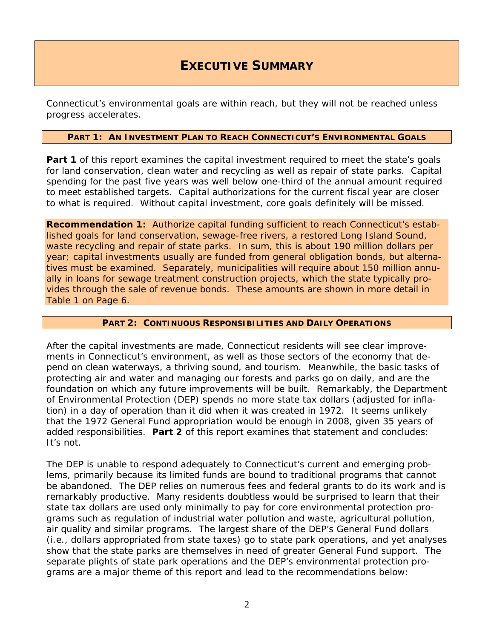### **EXECUTIVE SUMMARY**

Connecticut's environmental goals are within reach, but they will not be reached unless progress accelerates.

### **PART 1: AN INVESTMENT PLAN TO REACH CONNECTICUT'S ENVIRONMENTAL GOALS**

Part 1 of this report examines the capital investment required to meet the state's goals for land conservation, clean water and recycling as well as repair of state parks. Capital spending for the past five years was well below one-third of the annual amount required to meet established targets. Capital authorizations for the current fiscal year are closer to what is required. Without capital investment, core goals definitely will be missed.

**Recommendation 1:** Authorize capital funding sufficient to reach Connecticut's established goals for land conservation, sewage-free rivers, a restored Long Island Sound, waste recycling and repair of state parks. In sum, this is about 190 million dollars per year; capital investments usually are funded from general obligation bonds, but alternatives must be examined. Separately, municipalities will require about 150 million annually in loans for sewage treatment construction projects, which the state typically provides through the sale of revenue bonds. These amounts are shown in more detail in Table 1 on Page 6.

#### **PART 2: CONTINUOUS RESPONSIBILITIES AND DAILY OPERATIONS**

After the capital investments are made, Connecticut residents will see clear improvements in Connecticut's environment, as well as those sectors of the economy that depend on clean waterways, a thriving sound, and tourism. Meanwhile, the basic tasks of protecting air and water and managing our forests and parks go on daily, and are the foundation on which any future improvements will be built. Remarkably, the Department of Environmental Protection (DEP) spends no more state tax dollars (adjusted for inflation) in a day of operation than it did when it was created in 1972. It seems unlikely that the 1972 General Fund appropriation would be enough in 2008, given 35 years of added responsibilities. **Part 2** of this report examines that statement and concludes: It's not.

The DEP is unable to respond adequately to Connecticut's current and emerging problems, primarily because its limited funds are bound to traditional programs that cannot be abandoned. The DEP relies on numerous fees and federal grants to do its work and is remarkably productive. Many residents doubtless would be surprised to learn that their state tax dollars are used only minimally to pay for core environmental protection programs such as regulation of industrial water pollution and waste, agricultural pollution, air quality and similar programs. The largest share of the DEP's General Fund dollars (i.e., dollars appropriated from state taxes) go to state park operations, and yet analyses show that the state parks are themselves in need of greater General Fund support. The separate plights of state park operations and the DEP's environmental protection programs are a major theme of this report and lead to the recommendations below: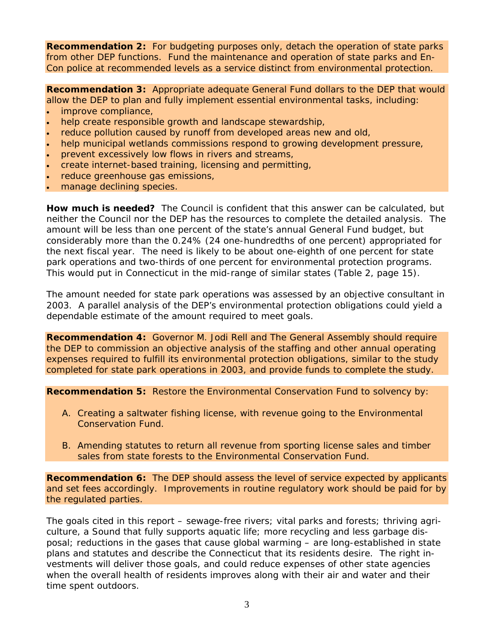**Recommendation 2:** For budgeting purposes only, detach the operation of state parks from other DEP functions. Fund the maintenance and operation of state parks and En-Con police at recommended levels as a service distinct from environmental protection.

**Recommendation 3:** Appropriate adequate General Fund dollars to the DEP that would allow the DEP to plan and fully implement essential environmental tasks, including:

- improve compliance,
- help create responsible growth and landscape stewardship,
- reduce pollution caused by runoff from developed areas new and old,
- help municipal wetlands commissions respond to growing development pressure,
- prevent excessively low flows in rivers and streams,
- create internet-based training, licensing and permitting,
- reduce greenhouse gas emissions,
- manage declining species.

**How much is needed?** The Council is confident that this answer can be calculated, but neither the Council nor the DEP has the resources to complete the detailed analysis. The amount will be less than one percent of the state's annual General Fund budget, but considerably more than the 0.24% (24 one-hundredths of one percent) appropriated for the next fiscal year. The need is likely to be about one-eighth of one percent for state park operations and two-thirds of one percent for environmental protection programs. This would put in Connecticut in the mid-range of similar states (Table 2, page 15).

The amount needed for state park operations was assessed by an objective consultant in 2003. A parallel analysis of the DEP's environmental protection obligations could yield a dependable estimate of the amount required to meet goals.

**Recommendation 4:** Governor M. Jodi Rell and The General Assembly should require the DEP to commission an objective analysis of the staffing and other annual operating expenses required to fulfill its environmental protection obligations, similar to the study completed for state park operations in 2003, and provide funds to complete the study.

**Recommendation 5:** Restore the Environmental Conservation Fund to solvency by:

- A. Creating a saltwater fishing license, with revenue going to the Environmental Conservation Fund.
- B. Amending statutes to return all revenue from sporting license sales and timber sales from state forests to the Environmental Conservation Fund.

**Recommendation 6:** The DEP should assess the level of service expected by applicants and set fees accordingly. Improvements in routine regulatory work should be paid for by the regulated parties.

The goals cited in this report – sewage-free rivers; vital parks and forests; thriving agriculture, a Sound that fully supports aquatic life; more recycling and less garbage disposal; reductions in the gases that cause global warming – are long-established in state plans and statutes and describe the Connecticut that its residents desire. The right investments will deliver those goals, and could reduce expenses of other state agencies when the overall health of residents improves along with their air and water and their time spent outdoors.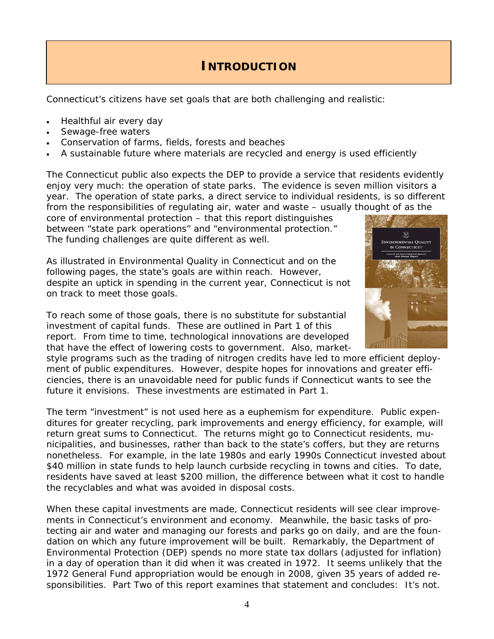### **INTRODUCTION**

Connecticut's citizens have set goals that are both challenging and realistic:

- Healthful air every day
- Sewage-free waters
- Conservation of farms, fields, forests and beaches
- A sustainable future where materials are recycled and energy is used efficiently

The Connecticut public also expects the DEP to provide a service that residents evidently enjoy very much: the operation of state parks. The evidence is seven million visitors a year. The operation of state parks, a direct service to individual residents, is so different from the responsibilities of regulating air, water and waste – usually thought of as the

core of environmental protection – that this report distinguishes between "state park operations" and "environmental protection." The funding challenges are quite different as well.

As illustrated in *Environmental Quality in Connecticut* and on the following pages, the state's goals are within reach. However, despite an uptick in spending in the current year, Connecticut is not on track to meet those goals.

To reach some of those goals, there is no substitute for substantial investment of capital funds. These are outlined in Part 1 of this report. From time to time, technological innovations are developed that have the effect of lowering costs to government. Also, market-

style programs such as the trading of nitrogen credits have led to more efficient deployment of public expenditures. However, despite hopes for innovations and greater efficiencies, there is an unavoidable need for public funds if Connecticut wants to see the future it envisions. These investments are estimated in Part 1.

The term "investment" is not used here as a euphemism for expenditure. Public expenditures for greater recycling, park improvements and energy efficiency, for example, will return great sums to Connecticut. The returns might go to Connecticut residents, municipalities, and businesses, rather than back to the state's coffers, but they are returns nonetheless. For example, in the late 1980s and early 1990s Connecticut invested about \$40 million in state funds to help launch curbside recycling in towns and cities. To date, residents have saved at least \$200 million, the difference between what it cost to handle the recyclables and what was avoided in disposal costs.

When these capital investments are made, Connecticut residents will see clear improvements in Connecticut's environment and economy. Meanwhile, the basic tasks of protecting air and water and managing our forests and parks go on daily, and are the foundation on which any future improvement will be built. Remarkably, the Department of Environmental Protection (DEP) spends no more state tax dollars (adjusted for inflation) in a day of operation than it did when it was created in 1972. It seems unlikely that the 1972 General Fund appropriation would be enough in 2008, given 35 years of added responsibilities. Part Two of this report examines that statement and concludes: It's not.

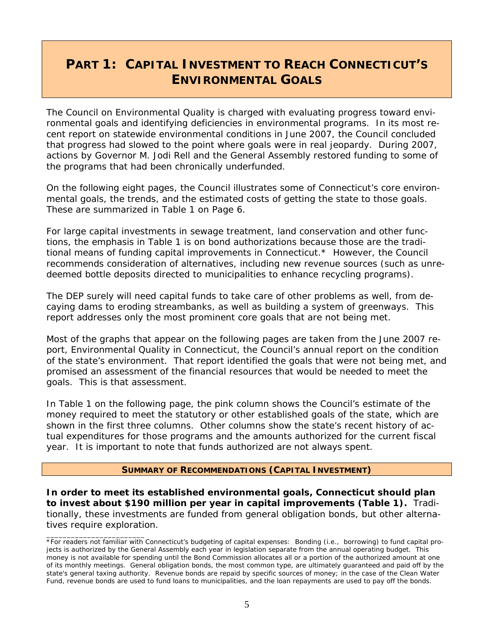# **PART 1: CAPITAL INVESTMENT TO REACH CONNECTICUT'S ENVIRONMENTAL GOALS**

The Council on Environmental Quality is charged with evaluating progress toward environmental goals and identifying deficiencies in environmental programs. In its most recent report on statewide environmental conditions in June 2007, the Council concluded that progress had slowed to the point where goals were in real jeopardy. During 2007, actions by Governor M. Jodi Rell and the General Assembly restored funding to some of the programs that had been chronically underfunded.

On the following eight pages, the Council illustrates some of Connecticut's core environmental goals, the trends, and the estimated costs of getting the state to those goals. These are summarized in Table 1 on Page 6.

For large capital investments in sewage treatment, land conservation and other functions, the emphasis in Table 1 is on bond authorizations because those are the traditional means of funding capital improvements in Connecticut.\* However, the Council recommends consideration of alternatives, including new revenue sources (such as unredeemed bottle deposits directed to municipalities to enhance recycling programs).

The DEP surely will need capital funds to take care of other problems as well, from decaying dams to eroding streambanks, as well as building a system of greenways. This report addresses only the most prominent core goals that are not being met.

Most of the graphs that appear on the following pages are taken from the June 2007 report, *Environmental Quality in Connecticut*, the Council's annual report on the condition of the state's environment. That report identified the goals that were not being met, and promised an assessment of the financial resources that would be needed to meet the goals. This is that assessment.

In Table 1 on the following page, the pink column shows the Council's estimate of the money required to meet the statutory or other established goals of the state, which are shown in the first three columns. Other columns show the state's recent history of actual expenditures for those programs and the amounts authorized for the current fiscal year. It is important to note that funds authorized are not always spent.

#### **SUMMARY OF RECOMMENDATIONS (CAPITAL INVESTMENT)**

**In order to meet its established environmental goals, Connecticut should plan to invest about \$190 million per year in capital improvements (Table 1).** Traditionally, these investments are funded from general obligation bonds, but other alternatives require exploration.

\_\_\_\_\_\_\_\_\_\_\_\_\_\_\_\_\_\_\_\_\_\_\_\_

<sup>\*</sup>For readers not familiar with Connecticut's budgeting of capital expenses: Bonding (i.e., borrowing) to fund capital projects is authorized by the General Assembly each year in legislation separate from the annual operating budget. This money is not available for spending until the Bond Commission allocates all or a portion of the authorized amount at one of its monthly meetings. General obligation bonds, the most common type, are ultimately guaranteed and paid off by the state's general taxing authority. Revenue bonds are repaid by specific sources of money; in the case of the Clean Water Fund, revenue bonds are used to fund loans to municipalities, and the loan repayments are used to pay off the bonds.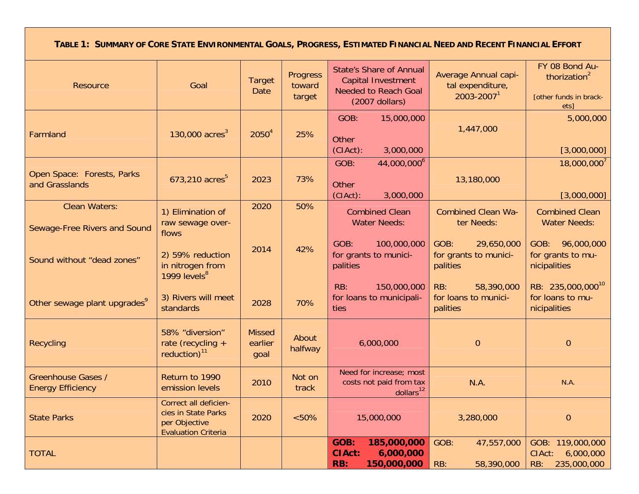**TABLE 1: SUMMARY OF CORE STATE ENVIRONMENTAL GOALS, PROGRESS, ESTIMATED FINANCIAL NEED AND RECENT FINANCIAL EFFORT**

| <b>Resource</b>                                       | Goal                                                                                        | <b>Target</b><br>Date            | Progress<br>toward<br>target | <b>State's Share of Annual</b><br>Capital Investment<br><b>Needed to Reach Goal</b><br>$(2007$ dollars) | Average Annual capi-<br>tal expenditure,<br>$2003 - 20071$ | FY 08 Bond Au-<br>thorization $2$<br>[other funds in brack-<br>ets] |
|-------------------------------------------------------|---------------------------------------------------------------------------------------------|----------------------------------|------------------------------|---------------------------------------------------------------------------------------------------------|------------------------------------------------------------|---------------------------------------------------------------------|
| Farmland                                              | 130,000 $\rm{acres}^3$                                                                      | $2050^4$                         | 25%                          | GOB:<br>15,000,000<br>Other<br>$(CIAct)$ :<br>3,000,000                                                 | 1,447,000                                                  | 5,000,000<br>[3,000,000]                                            |
| Open Space: Forests, Parks<br>and Grasslands          | 673,210 acres <sup>5</sup>                                                                  | 2023                             | 73%                          | 44,000,000 <sup>6</sup><br>GOB:<br><b>Other</b><br>(CIAct):<br>3,000,000                                | 13,180,000                                                 | $18,000,000^{7}$<br>[3,000,000]                                     |
| <b>Clean Waters:</b><br>Sewage-Free Rivers and Sound  | 1) Elimination of<br>raw sewage over-<br>flows                                              | 2020                             | 50%                          | <b>Combined Clean</b><br><b>Water Needs:</b>                                                            | <b>Combined Clean Wa-</b><br>ter Needs:                    | <b>Combined Clean</b><br><b>Water Needs:</b>                        |
| Sound without "dead zones"                            | 2) 59% reduction<br>in nitrogen from<br>1999 levels <sup>8</sup>                            | 2014                             | 42%                          | GOB:<br>100,000,000<br>for grants to munici-<br>palities                                                | GOB:<br>29,650,000<br>for grants to munici-<br>palities    | GOB: 96,000,000<br>for grants to mu-<br>nicipalities                |
| Other sewage plant upgrades <sup>9</sup>              | 3) Rivers will meet<br>standards                                                            | 2028                             | 70%                          | RB:<br>150,000,000<br>for loans to municipali-<br>ties                                                  | 58,390,000<br>RB:<br>for loans to munici-<br>palities      | RB: 235,000,000 <sup>10</sup><br>for loans to mu-<br>nicipalities   |
| <b>Recycling</b>                                      | 58% "diversion"<br>rate (recycling +<br>reduction) <sup>11</sup>                            | <b>Missed</b><br>earlier<br>goal | About<br>halfway             | 6,000,000                                                                                               | $\overline{0}$                                             | $\overline{0}$                                                      |
| <b>Greenhouse Gases /</b><br><b>Energy Efficiency</b> | Return to 1990<br>emission levels                                                           | 2010                             | Not on<br>track              | Need for increase; most<br>costs not paid from tax<br>dollars <sup>12</sup>                             | N.A.                                                       | N.A.                                                                |
| <b>State Parks</b>                                    | Correct all deficien-<br>cies in State Parks<br>per Objective<br><b>Evaluation Criteria</b> | 2020                             | $<50\%$                      | 15,000,000                                                                                              | 3,280,000                                                  | $\boldsymbol{0}$                                                    |
| <b>TOTAL</b>                                          |                                                                                             |                                  |                              | 185,000,000<br>GOB:<br><b>CIAct:</b><br>6,000,000<br>150,000,000<br>RB:                                 | GOB:<br>47,557,000<br>58,390,000<br>RB:                    | GOB: 119,000,000<br>6,000,000<br>CIAct:<br>235,000,000<br>RB:       |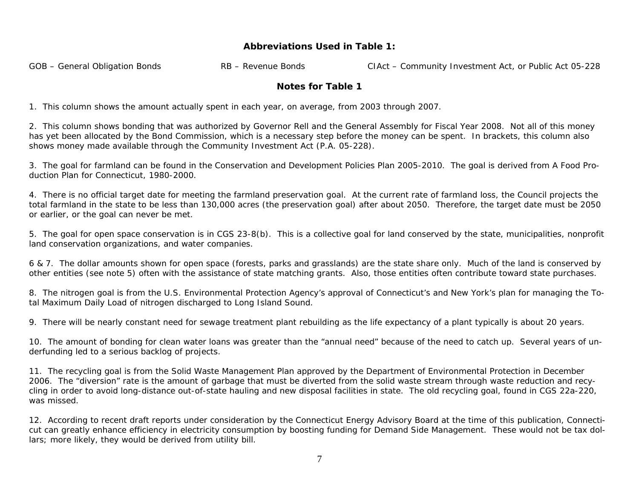### **Abbreviations Used in Table 1:**

GOB – General Obligation Bonds **RB – Revenue Bonds** CIAct – Community Investment Act, or Public Act 05-228

### **Notes for Table 1**

1. This column shows the amount actually spent in each year, on average, from 2003 through 2007.

2. This column shows bonding that was authorized by Governor Rell and the General Assembly for Fiscal Year 2008. Not all of this money has yet been allocated by the Bond Commission, which is a necessary step before the money can be spent. In brackets, this column also shows money made available through the Community Investment Act (P.A. 05-228).

3. The goal for farmland can be found in the *Conservation and Development Policies Plan 2005-2010*. The goal is derived from *A Food Production Plan for Connecticut, 1980-2000*.

4. There is no official target date for meeting the farmland preservation goal. At the current rate of farmland loss, the Council projects the total farmland in the state to be less than 130,000 acres (the preservation goal) after about 2050. Therefore, the target date must be 2050 or earlier, or the goal can never be met.

5. The goal for open space conservation is in CGS 23-8(b). This is a collective goal for land conserved by the state, municipalities, nonprofit land conservation organizations, and water companies.

6 & 7. The dollar amounts shown for open space (forests, parks and grasslands) are the state share only. Much of the land is conserved by other entities (see note 5) often with the assistance of state matching grants. Also, those entities often contribute toward state purchases.

8. The nitrogen goal is from the U.S. Environmental Protection Agency's approval of Connecticut's and New York's plan for managing the Total Maximum Daily Load of nitrogen discharged to Long Island Sound.

9. There will be nearly constant need for sewage treatment plant rebuilding as the life expectancy of a plant typically is about 20 years.

10. The amount of bonding for clean water loans was greater than the "annual need" because of the need to catch up. Several years of underfunding led to a serious backlog of projects.

11. The recycling goal is from the Solid Waste Management Plan approved by the Department of Environmental Protection in December 2006. The "diversion" rate is the amount of garbage that must be diverted from the solid waste stream through waste reduction and recycling in order to avoid long-distance out-of-state hauling and new disposal facilities in state. The old recycling goal, found in CGS 22a-220, was missed.

12. According to recent draft reports under consideration by the Connecticut Energy Advisory Board at the time of this publication, Connecticut can greatly enhance efficiency in electricity consumption by boosting funding for Demand Side Management. These would not be tax dollars; more likely, they would be derived from utility bill.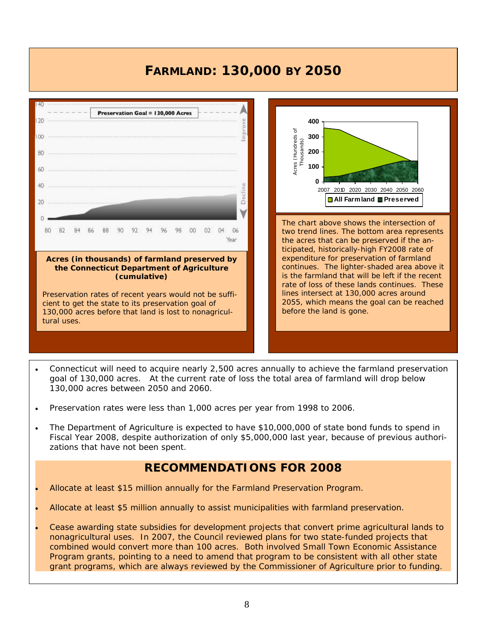# **FARMLAND: 130,000 BY 2050**





2055, which means the goal can be reached

before the land is gone.

- Connecticut will need to acquire nearly 2,500 acres annually to achieve the farmland preservation goal of 130,000 acres. At the current rate of loss the total area of farmland will drop below 130,000 acres between 2050 and 2060.
- Preservation rates were less than 1,000 acres per year from 1998 to 2006.
- The Department of Agriculture is expected to have \$10,000,000 of state bond funds to spend in Fiscal Year 2008, despite authorization of only \$5,000,000 last year, because of previous authorizations that have not been spent.

### **RECOMMENDATIONS FOR 2008**

- Allocate at least \$15 million annually for the Farmland Preservation Program.
- Allocate at least \$5 million annually to assist municipalities with farmland preservation.
- Cease awarding state subsidies for development projects that convert prime agricultural lands to nonagricultural uses. In 2007, the Council reviewed plans for two state-funded projects that combined would convert more than 100 acres. Both involved Small Town Economic Assistance Program grants, pointing to a need to amend that program to be consistent with all other state grant programs, which are always reviewed by the Commissioner of Agriculture prior to funding.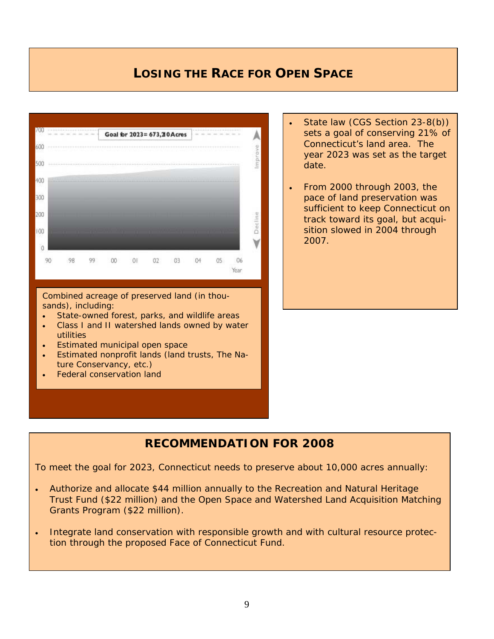### **LOSING THE RACE FOR OPEN SPACE**



Combined acreage of preserved land (in thousands), including:

- State-owned forest, parks, and wildlife areas
- Class I and II watershed lands owned by water utilities
- Estimated municipal open space
- Estimated nonprofit lands (land trusts, The Nature Conservancy, etc.)
- Federal conservation land
- State law (CGS Section 23-8(b)) sets a goal of conserving 21% of Connecticut's land area. The year 2023 was set as the target date.
- From 2000 through 2003, the pace of land preservation was sufficient to keep Connecticut on track toward its goal, but acquisition slowed in 2004 through 2007.

### **RECOMMENDATION FOR 2008**

To meet the goal for 2023, Connecticut needs to preserve about 10,000 acres annually:

- Authorize and allocate \$44 million annually to the Recreation and Natural Heritage Trust Fund (\$22 million) and the Open Space and Watershed Land Acquisition Matching Grants Program (\$22 million).
- Integrate land conservation with responsible growth and with cultural resource protection through the proposed Face of Connecticut Fund.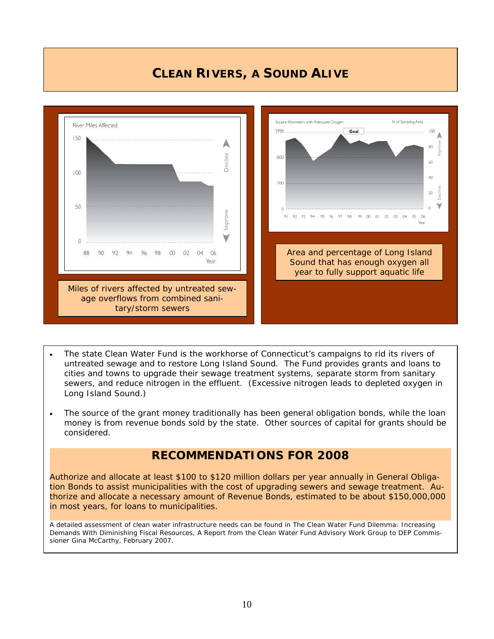### **CLEAN RIVERS, A SOUND ALIVE**



- The state Clean Water Fund is the workhorse of Connecticut's campaigns to rid its rivers of untreated sewage and to restore Long Island Sound. The Fund provides grants and loans to cities and towns to upgrade their sewage treatment systems, separate storm from sanitary sewers, and reduce nitrogen in the effluent. (Excessive nitrogen leads to depleted oxygen in Long Island Sound.)
- The source of the grant money traditionally has been general obligation bonds, while the loan money is from revenue bonds sold by the state. Other sources of capital for grants should be considered.

### **RECOMMENDATIONS FOR 2008**

Authorize and allocate at least \$100 to \$120 million dollars per year annually in General Obligation Bonds to assist municipalities with the cost of upgrading sewers and sewage treatment. Authorize and allocate a necessary amount of Revenue Bonds, estimated to be about \$150,000,000 in most years, for loans to municipalities.

A detailed assessment of clean water infrastructure needs can be found in *The Clean Water Fund Dilemma: Increasing Demands With Diminishing Fiscal Resources,* A Report from the Clean Water Fund Advisory Work Group to DEP Commissioner Gina McCarthy, February 2007.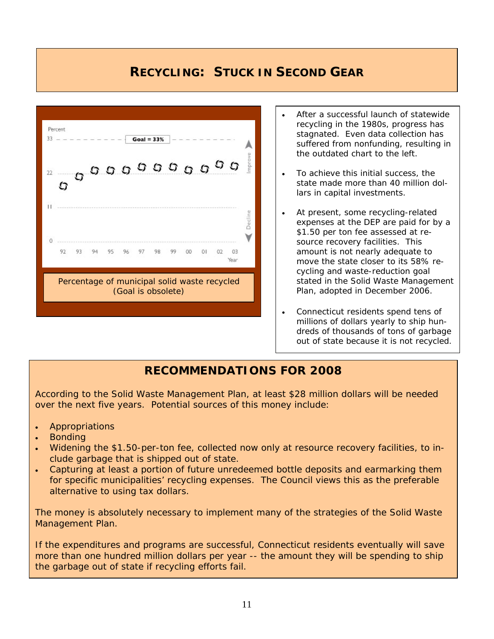### **RECYCLING: STUCK IN SECOND GEAR**



- After a successful launch of statewide recycling in the 1980s, progress has stagnated. Even data collection has suffered from nonfunding, resulting in the outdated chart to the left.
- To achieve this initial success, the state made more than 40 million dollars in capital investments.
- At present, some recycling-related expenses at the DEP are paid for by a \$1.50 per ton fee assessed at resource recovery facilities. This amount is not nearly adequate to move the state closer to its 58% recycling and waste-reduction goal stated in the Solid Waste Management Plan, adopted in December 2006.
- Connecticut residents spend tens of millions of dollars yearly to ship hundreds of thousands of tons of garbage out of state because it is not recycled.

### **RECOMMENDATIONS FOR 2008**

According to the Solid Waste Management Plan, at least \$28 million dollars will be needed over the next five years. Potential sources of this money include:

- **Appropriations**
- Bonding
- Widening the \$1.50-per-ton fee, collected now only at resource recovery facilities, to include garbage that is shipped out of state.
- Capturing at least a portion of future unredeemed bottle deposits and earmarking them for specific municipalities' recycling expenses. *The Council views this as the preferable alternative to using tax dollars.*

The money is absolutely necessary to implement many of the strategies of the Solid Waste Management Plan.

If the expenditures and programs are successful, Connecticut residents eventually will save more than one hundred million dollars per year -- the amount they will be spending to ship the garbage out of state if recycling efforts fail.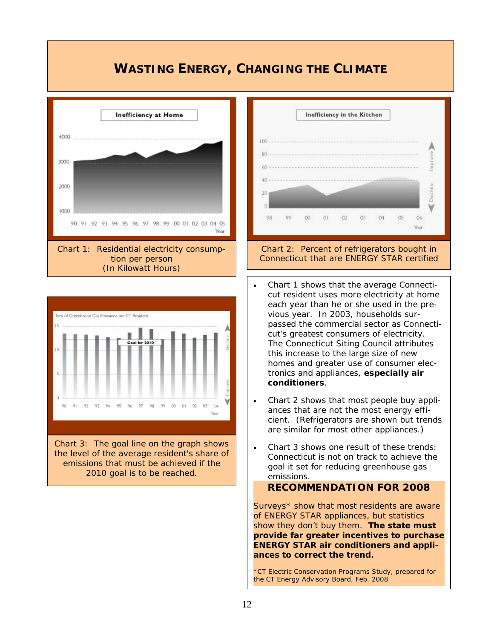### **WASTING ENERGY, CHANGING THE CLIMATE**





Chart 3: The goal line on the graph shows the level of the average resident's share of emissions that must be achieved if the 2010 goal is to be reached.



# Connecticut that are ENERGY STAR certified

- Chart 1 shows that the average Connecticut resident uses more electricity at home each year than he or she used in the previous year. In 2003, households surpassed the commercial sector as Connecticut's greatest consumers of electricity. The Connecticut Siting Council attributes this increase to the large size of new homes and greater use of consumer electronics and appliances, **especially air conditioners**.
- Chart 2 shows that most people buy appliances that are not the most energy efficient. (Refrigerators are shown but trends are similar for most other appliances.)
- Chart 3 shows one result of these trends: Connecticut is not on track to achieve the goal it set for reducing greenhouse gas emissions.

#### **RECOMMENDATION FOR 2008**

Surveys\* show that most residents are aware of ENERGY STAR appliances, but statistics show they don't buy them. **The state must provide far greater incentives to purchase ENERGY STAR air conditioners and appliances to correct the trend.** 

\*CT Electric Conservation Programs Study, prepared for the CT Energy Advisory Board, Feb. 2008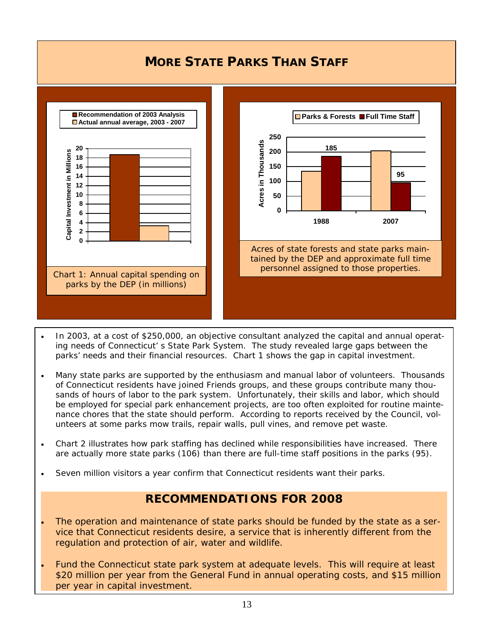### **MORE STATE PARKS THAN STAFF**



- In 2003, at a cost of \$250,000, an objective consultant analyzed the capital and annual operating needs of Connecticut' s State Park System. The study revealed large gaps between the parks' needs and their financial resources. Chart 1 shows the gap in capital investment.
- Many state parks are supported by the enthusiasm and manual labor of volunteers. Thousands of Connecticut residents have joined Friends groups, and these groups contribute many thousands of hours of labor to the park system. Unfortunately, their skills and labor, which should be employed for special park enhancement projects, are too often exploited for routine maintenance chores that the state should perform. According to reports received by the Council, volunteers at some parks mow trails, repair walls, pull vines, and remove pet waste.
- Chart 2 illustrates how park staffing has declined while responsibilities have increased. There are actually more state parks (106) than there are full-time staff positions in the parks (95).
- Seven million visitors a year confirm that Connecticut residents want their parks.

### **RECOMMENDATIONS FOR 2008**

- The operation and maintenance of state parks should be funded by the state as a service that Connecticut residents desire, a service that is inherently different from the regulation and protection of air, water and wildlife.
- Fund the Connecticut state park system at adequate levels. This will require at least \$20 million per year from the General Fund in annual operating costs, and \$15 million per year in capital investment.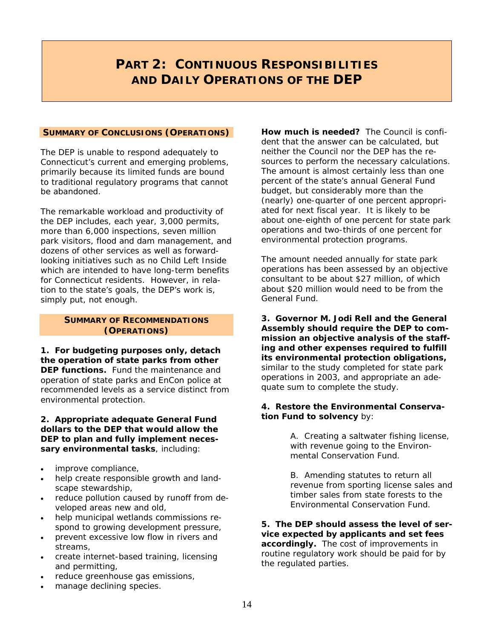## **PART 2: CONTINUOUS RESPONSIBILITIES AND DAILY OPERATIONS OF THE DEP**

#### **SUMMARY OF CONCLUSIONS (OPERATIONS)**

The DEP is unable to respond adequately to Connecticut's current and emerging problems, primarily because its limited funds are bound to traditional regulatory programs that cannot be abandoned.

The remarkable workload and productivity of the DEP includes, each year, 3,000 permits, more than 6,000 inspections, seven million park visitors, flood and dam management, and dozens of other services as well as forwardlooking initiatives such as no Child Left Inside which are intended to have long-term benefits for Connecticut residents. However, in relation to the state's goals, the DEP's work is, simply put, not enough.

#### **SUMMARY OF RECOMMENDATIONS (OPERATIONS)**

**1. For budgeting purposes only, detach the operation of state parks from other DEP functions.** Fund the maintenance and operation of state parks and EnCon police at recommended levels as a service distinct from environmental protection.

#### **2. Appropriate adequate General Fund dollars to the DEP that would allow the DEP to plan and fully implement necessary environmental tasks**, including:

- improve compliance,
- help create responsible growth and landscape stewardship,
- reduce pollution caused by runoff from developed areas new and old,
- help municipal wetlands commissions respond to growing development pressure,
- prevent excessive low flow in rivers and streams,
- create internet-based training, licensing and permitting,
- reduce greenhouse gas emissions,
- manage declining species.

**How much is needed?** The Council is confident that the answer can be calculated, but neither the Council nor the DEP has the resources to perform the necessary calculations. The amount is almost certainly less than one percent of the state's annual General Fund budget, but considerably more than the (nearly) one-quarter of one percent appropriated for next fiscal year. It is likely to be about one-eighth of one percent for state park operations and two-thirds of one percent for environmental protection programs.

The amount needed annually for state park operations has been assessed by an objective consultant to be about \$27 million, of which about \$20 million would need to be from the General Fund.

**3. Governor M. Jodi Rell and the General Assembly should require the DEP to commission an objective analysis of the staffing and other expenses required to fulfill its environmental protection obligations,**  similar to the study completed for state park operations in 2003, and appropriate an adequate sum to complete the study.

#### **4. Restore the Environmental Conservation Fund to solvency** by:

A. Creating a saltwater fishing license, with revenue going to the Environmental Conservation Fund.

B. Amending statutes to return all revenue from sporting license sales and timber sales from state forests to the Environmental Conservation Fund.

**5. The DEP should assess the level of service expected by applicants and set fees accordingly.** The cost of improvements in routine regulatory work should be paid for by the regulated parties.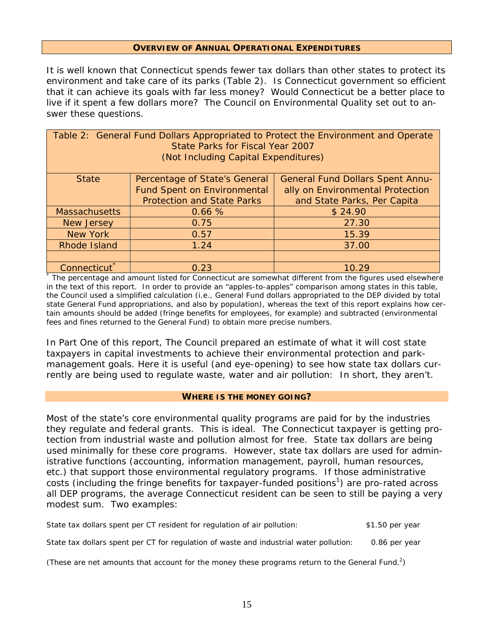#### **OVERVIEW OF ANNUAL OPERATIONAL EXPENDITURES**

It is well known that Connecticut spends fewer tax dollars than other states to protect its environment and take care of its parks (Table 2). Is Connecticut government so efficient that it can achieve its goals with far less money? Would Connecticut be a better place to live if it spent a few dollars more? The Council on Environmental Quality set out to answer these questions.

| Table 2: General Fund Dollars Appropriated to Protect the Environment and Operate<br>State Parks for Fiscal Year 2007<br>(Not Including Capital Expenditures) |                                    |                                         |  |  |  |  |
|---------------------------------------------------------------------------------------------------------------------------------------------------------------|------------------------------------|-----------------------------------------|--|--|--|--|
| <b>State</b>                                                                                                                                                  | Percentage of State's General      | <b>General Fund Dollars Spent Annu-</b> |  |  |  |  |
|                                                                                                                                                               | <b>Fund Spent on Environmental</b> | ally on Environmental Protection        |  |  |  |  |
|                                                                                                                                                               | <b>Protection and State Parks</b>  | and State Parks, Per Capita             |  |  |  |  |
| <b>Massachusetts</b>                                                                                                                                          | 0.66%                              | \$24.90                                 |  |  |  |  |
| <b>New Jersey</b>                                                                                                                                             | 0.75                               | 27.30                                   |  |  |  |  |
| <b>New York</b>                                                                                                                                               | 0.57                               | 15.39                                   |  |  |  |  |
| Rhode Island                                                                                                                                                  | 1.24                               | 37.00                                   |  |  |  |  |
|                                                                                                                                                               |                                    |                                         |  |  |  |  |
| Connecticut <sup>*</sup>                                                                                                                                      | 0.23                               | 10.29                                   |  |  |  |  |
| The percentage and amount listed for Connecticut are somewhat different from the figures used elsewhere                                                       |                                    |                                         |  |  |  |  |

in the text of this report. In order to provide an "apples-to-apples" comparison among states in this table, the Council used a simplified calculation (i.e., General Fund dollars appropriated to the DEP divided by total state General Fund appropriations, and also by population), whereas the text of this report explains how certain amounts should be added (fringe benefits for employees, for example) and subtracted (environmental fees and fines returned to the General Fund) to obtain more precise numbers.

In Part One of this report, The Council prepared an estimate of what it will cost state taxpayers in capital investments to achieve their environmental protection and parkmanagement goals. Here it is useful (and eye-opening) to see how state tax dollars currently are being used to regulate waste, water and air pollution: In short, they aren't.

#### **WHERE IS THE MONEY GOING?**

Most of the state's core environmental quality programs are paid for by the industries they regulate and federal grants. This is ideal. The Connecticut taxpayer is getting protection from industrial waste and pollution almost for free. State tax dollars are being used minimally for these core programs. However, state tax dollars *are* used for administrative functions (accounting, information management, payroll, human resources, etc.) that support those environmental regulatory programs. If those administrative costs (including the fringe benefits for taxpayer-funded positions<sup>1</sup>) are pro-rated across all DEP programs, the average Connecticut resident can be seen to still be paying a very modest sum. Two examples:

| State tax dollars spent per CT resident for regulation of air pollution:               | \$1.50 per year |
|----------------------------------------------------------------------------------------|-----------------|
| State tax dollars spent per CT for regulation of waste and industrial water pollution: | 0.86 per year   |

*(These are net amounts that account for the money these programs return to the General Fund.2 )*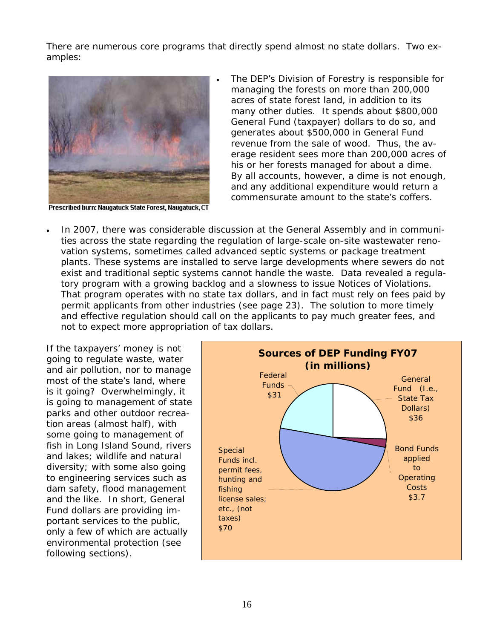There are numerous core programs that directly spend almost no state dollars. Two examples:



Prescribed burn: Naugatuck State Forest, Naugatuck, CT

- The DEP's Division of Forestry is responsible for managing the forests on more than 200,000 acres of state forest land, in addition to its many other duties. It spends about \$800,000 General Fund (taxpayer) dollars to do so, and generates about \$500,000 in General Fund revenue from the sale of wood. Thus, the average resident sees more than 200,000 acres of his or her forests managed for about a dime. By all accounts, however, a dime is not enough, and any additional expenditure would return a commensurate amount to the state's coffers.
- In 2007, there was considerable discussion at the General Assembly and in communities across the state regarding the regulation of large-scale on-site wastewater renovation systems, sometimes called advanced septic systems or package treatment plants. These systems are installed to serve large developments where sewers do not exist and traditional septic systems cannot handle the waste. Data revealed a regulatory program with a growing backlog and a slowness to issue Notices of Violations. That program operates with no state tax dollars, and in fact must rely on fees paid by permit applicants from other industries (see page 23). The solution to more timely and effective regulation should call on the applicants to pay much greater fees, and not to expect more appropriation of tax dollars.

If the taxpayers' money is not going to regulate waste, water and air pollution, nor to manage most of the state's land, where is it going? Overwhelmingly, it is going to management of state parks and other outdoor recreation areas (almost half), with some going to management of fish in Long Island Sound, rivers and lakes; wildlife and natural diversity; with some also going to engineering services such as dam safety, flood management and the like. In short, General Fund dollars are providing important services to the public, only a few of which are actually environmental protection (see following sections).

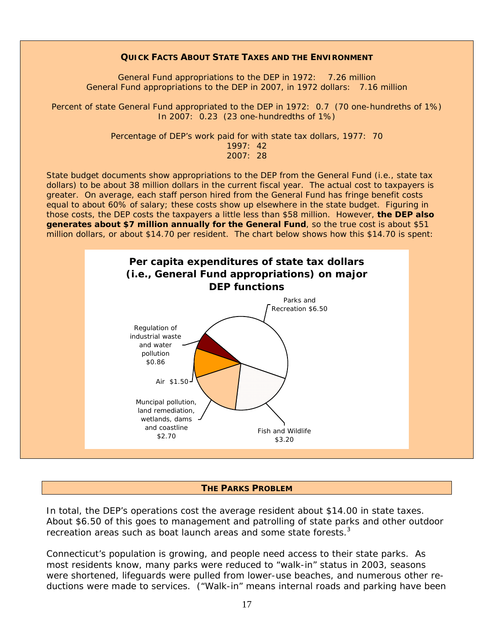#### **QUICK FACTS ABOUT STATE TAXES AND THE ENVIRONMENT**

General Fund appropriations to the DEP in 1972: 7.26 million General Fund appropriations to the DEP in 2007, in 1972 dollars: 7.16 million

Percent of state General Fund appropriated to the DEP in 1972: 0.7 (70 one-hundreths of 1%) In 2007: 0.23 (23 one-hundredths of 1%)

> Percentage of DEP's work paid for with state tax dollars, 1977: 70 1997: 42

2007: 28

State budget documents show appropriations to the DEP from the General Fund (i.e., state tax dollars) to be about 38 million dollars in the current fiscal year. The actual cost to taxpayers is greater. On average, each staff person hired from the General Fund has fringe benefit costs equal to about 60% of salary; these costs show up elsewhere in the state budget. Figuring in those costs, the DEP costs the taxpayers a little less than \$58 million. However, **the DEP also generates about \$7 million annually for the General Fund**, so the true cost is about \$51 million dollars, or about \$14.70 per resident. The chart below shows how this \$14.70 is spent:



#### **THE PARKS PROBLEM**

In total, the DEP's operations cost the average resident about \$14.00 in state taxes. About \$6.50 of this goes to management and patrolling of state parks and other outdoor recreation areas such as boat launch areas and some state forests.<sup>3</sup>

Connecticut's population is growing, and people need access to their state parks. As most residents know, many parks were reduced to "walk-in" status in 2003, seasons were shortened, lifeguards were pulled from lower-use beaches, and numerous other reductions were made to services. ("Walk-in" means internal roads and parking have been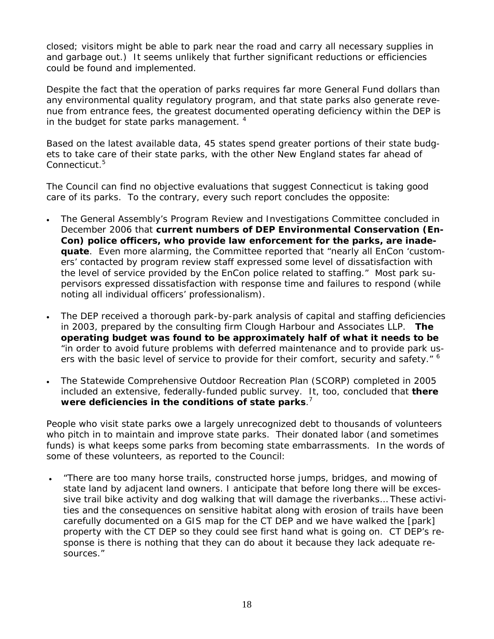closed; visitors might be able to park near the road and carry all necessary supplies in and garbage out.) It seems unlikely that further significant reductions or efficiencies could be found and implemented.

Despite the fact that the operation of parks requires far more General Fund dollars than any environmental quality regulatory program, and that state parks also generate revenue from entrance fees, the greatest documented operating deficiency within the DEP is in the budget for state parks management.  $4$ 

Based on the latest available data, 45 states spend greater portions of their state budgets to take care of their state parks, with the other New England states far ahead of Connecticut.<sup>5</sup>

The Council can find no objective evaluations that suggest Connecticut is taking good care of its parks. To the contrary, every such report concludes the opposite:

- The General Assembly's Program Review and Investigations Committee concluded in December 2006 that **current numbers of DEP Environmental Conservation (En-Con) police officers, who provide law enforcement for the parks, are inadequate**. Even more alarming, the Committee reported that "nearly all EnCon 'customers' contacted by program review staff expressed some level of dissatisfaction with the level of service provided by the EnCon police related to staffing." Most park supervisors expressed dissatisfaction with response time and failures to respond (while noting all individual officers' professionalism).
- The DEP received a thorough park-by-park analysis of capital and staffing deficiencies in 2003, prepared by the consulting firm Clough Harbour and Associates LLP. **The operating budget was found to be approximately half of what it needs to be** "in order to avoid future problems with deferred maintenance and to provide park users with the basic level of service to provide for their comfort, security and safety." <sup>6</sup>
- The Statewide Comprehensive Outdoor Recreation Plan (SCORP) completed in 2005 included an extensive, federally-funded public survey. It, too, concluded that **there were deficiencies in the conditions of state parks**. 7

People who visit state parks owe a largely unrecognized debt to thousands of volunteers who pitch in to maintain and improve state parks. Their donated labor (and sometimes funds) is what keeps some parks from becoming state embarrassments. In the words of some of these volunteers, as reported to the Council:

• "There are too many horse trails, constructed horse jumps, bridges, and mowing of state land by adjacent land owners. I anticipate that before long there will be excessive trail bike activity and dog walking that will damage the riverbanks… These activities and the consequences on sensitive habitat along with erosion of trails have been carefully documented on a GIS map for the CT DEP and we have walked the [park] property with the CT DEP so they could see first hand what is going on. CT DEP's response is there is nothing that they can do about it because they lack adequate resources."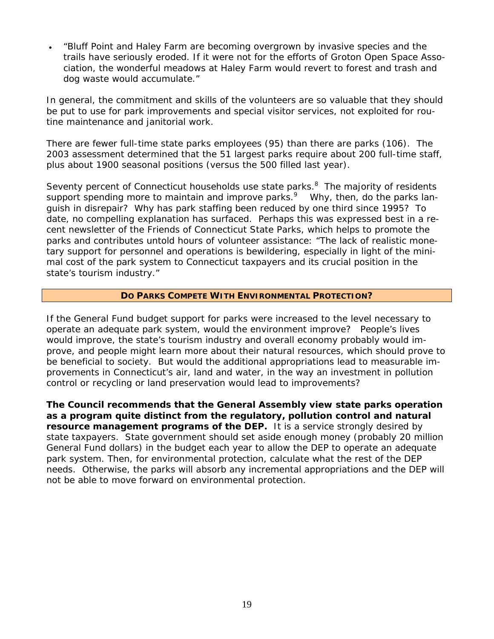• "Bluff Point and Haley Farm are becoming overgrown by invasive species and the trails have seriously eroded. If it were not for the efforts of Groton Open Space Association, the wonderful meadows at Haley Farm would revert to forest and trash and dog waste would accumulate."

In general, the commitment and skills of the volunteers are so valuable that they should be put to use for park improvements and special visitor services, not exploited for routine maintenance and janitorial work.

There are fewer full-time state parks employees (95) than there are parks (106). The 2003 assessment determined that the 51 largest parks require about 200 full-time staff, plus about 1900 seasonal positions (versus the 500 filled last year).

Seventy percent of Connecticut households use state parks.<sup>8</sup> The majority of residents support spending more to maintain and improve parks.<sup>9</sup> Why, then, do the parks languish in disrepair? Why has park staffing been reduced by one third since 1995? To date, no compelling explanation has surfaced. Perhaps this was expressed best in a recent newsletter of the Friends of Connecticut State Parks, which helps to promote the parks and contributes untold hours of volunteer assistance: "The lack of realistic monetary support for personnel and operations is bewildering, especially in light of the minimal cost of the park system to Connecticut taxpayers and its crucial position in the state's tourism industry."

### **DO PARKS COMPETE WITH ENVIRONMENTAL PROTECTION?**

If the General Fund budget support for parks were increased to the level necessary to operate an adequate park system, would the environment improve? People's lives would improve, the state's tourism industry and overall economy probably would improve, and people might learn more about their natural resources, which should prove to be beneficial to society. But would the additional appropriations lead to measurable improvements in Connecticut's air, land and water, in the way an investment in pollution control or recycling or land preservation would lead to improvements?

**The Council recommends that the General Assembly view state parks operation as a program quite distinct from the regulatory, pollution control and natural resource management programs of the DEP.** It is a service strongly desired by state taxpayers. State government should set aside enough money (probably 20 million General Fund dollars) in the budget each year to allow the DEP to operate an adequate park system. Then, for environmental protection, calculate what the rest of the DEP needs. Otherwise, the parks will absorb any incremental appropriations and the DEP will not be able to move forward on *environmental protection*.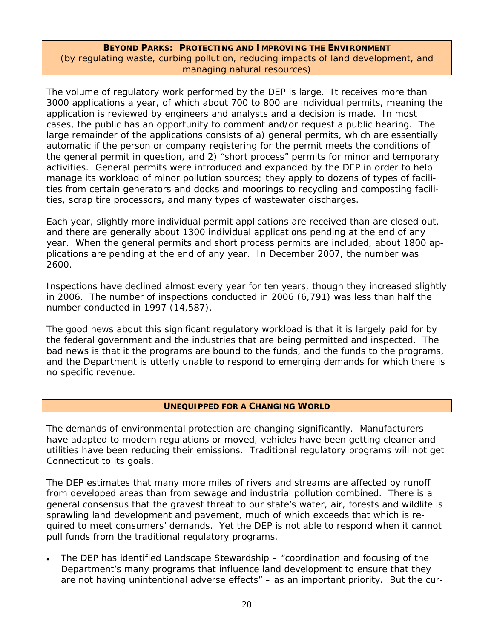### **BEYOND PARKS: PROTECTING AND IMPROVING THE ENVIRONMENT** *(by regulating waste, curbing pollution, reducing impacts of land development, and managing natural resources)*

The volume of regulatory work performed by the DEP is large. It receives more than 3000 applications a year, of which about 700 to 800 are individual permits, meaning the application is reviewed by engineers and analysts and a decision is made. In most cases, the public has an opportunity to comment and/or request a public hearing. The large remainder of the applications consists of a) general permits, which are essentially automatic if the person or company registering for the permit meets the conditions of the general permit in question, and 2) "short process" permits for minor and temporary activities. General permits were introduced and expanded by the DEP in order to help manage its workload of minor pollution sources; they apply to dozens of types of facilities from certain generators and docks and moorings to recycling and composting facilities, scrap tire processors, and many types of wastewater discharges.

Each year, slightly more individual permit applications are received than are closed out, and there are generally about 1300 individual applications pending at the end of any year. When the general permits and short process permits are included, about 1800 applications are pending at the end of any year. In December 2007, the number was 2600.

Inspections have declined almost every year for ten years, though they increased slightly in 2006. The number of inspections conducted in 2006 (6,791) was less than half the number conducted in 1997 (14,587).

The good news about this significant regulatory workload is that it is largely paid for by the federal government and the industries that are being permitted and inspected. The bad news is that it the programs are bound to the funds, and the funds to the programs, and the Department is utterly unable to respond to emerging demands for which there is no specific revenue.

### **UNEQUIPPED FOR A CHANGING WORLD**

The demands of environmental protection are changing significantly. Manufacturers have adapted to modern regulations or moved, vehicles have been getting cleaner and utilities have been reducing their emissions. Traditional regulatory programs will not get Connecticut to its goals.

The DEP estimates that many more miles of rivers and streams are affected by runoff from developed areas than from sewage and industrial pollution combined. There is a general consensus that the gravest threat to our state's water, air, forests and wildlife is sprawling land development and pavement, much of which exceeds that which is required to meet consumers' demands. Yet the DEP is not able to respond when it cannot pull funds from the traditional regulatory programs.

• The DEP has identified Landscape Stewardship – "coordination and focusing of the Department's many programs that influence land development to ensure that they are not having unintentional adverse effects" – as an important priority. But the cur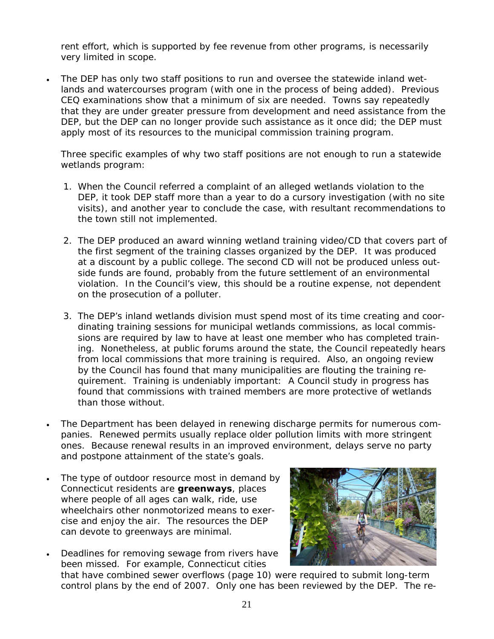rent effort, which is supported by fee revenue from other programs, is necessarily very limited in scope.

• The DEP has only two staff positions to run and oversee the statewide inland wetlands and watercourses program (with one in the process of being added). Previous CEQ examinations show that a minimum of six are needed. Towns say repeatedly that they are under greater pressure from development and need assistance from the DEP, but the DEP can no longer provide such assistance as it once did; the DEP must apply most of its resources to the municipal commission training program.

Three specific examples of why two staff positions are not enough to run a statewide wetlands program:

- 1. When the Council referred a complaint of an alleged wetlands violation to the DEP, it took DEP staff more than a year to do a cursory investigation (with no site visits), and another year to conclude the case, with resultant recommendations to the town still not implemented.
- 2. The DEP produced an award winning wetland training video/CD that covers part of the first segment of the training classes organized by the DEP. It was produced at a discount by a public college. The second CD will not be produced unless outside funds are found, probably from the future settlement of an environmental violation. In the Council's view, this should be a routine expense, not dependent on the prosecution of a polluter.
- 3. The DEP's inland wetlands division must spend most of its time creating and coordinating training sessions for municipal wetlands commissions, as local commissions are required by law to have at least one member who has completed training. Nonetheless, at public forums around the state, the Council repeatedly hears from local commissions that more training is required. Also, an ongoing review by the Council has found that many municipalities are flouting the training requirement. Training is undeniably important: A Council study in progress has found that commissions with trained members are more protective of wetlands than those without.
- The Department has been delayed in renewing discharge permits for numerous companies. Renewed permits usually replace older pollution limits with more stringent ones. Because renewal results in an improved environment, delays serve no party and postpone attainment of the state's goals.
- The type of outdoor resource most in demand by Connecticut residents are **greenways**, places where people of all ages can walk, ride, use wheelchairs other nonmotorized means to exercise and enjoy the air. The resources the DEP can devote to greenways are minimal.





that have combined sewer overflows (page 10) were required to submit long-term control plans by the end of 2007. Only one has been reviewed by the DEP. The re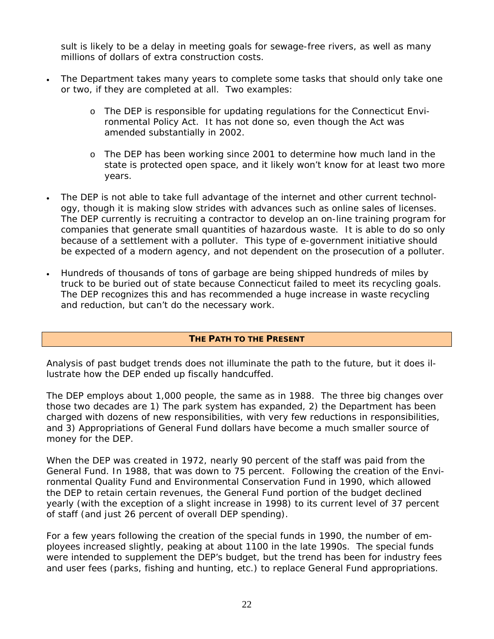sult is likely to be a delay in meeting goals for sewage-free rivers, as well as many millions of dollars of extra construction costs.

- The Department takes many years to complete some tasks that should only take one or two, if they are completed at all. Two examples:
	- o The DEP is responsible for updating regulations for the Connecticut Environmental Policy Act. It has not done so, even though the Act was amended substantially in 2002.
	- o The DEP has been working since 2001 to determine how much land in the state is protected open space, and it likely won't know for at least two more years.
- The DEP is not able to take full advantage of the internet and other current technology, though it is making slow strides with advances such as online sales of licenses. The DEP currently is recruiting a contractor to develop an on-line training program for companies that generate small quantities of hazardous waste. It is able to do so only because of a settlement with a polluter. This type of e-government initiative should be expected of a modern agency, and not dependent on the prosecution of a polluter.
- Hundreds of thousands of tons of garbage are being shipped hundreds of miles by truck to be buried out of state because Connecticut failed to meet its recycling goals. The DEP recognizes this and has recommended a huge increase in waste recycling and reduction, but can't do the necessary work.

### **THE PATH TO THE PRESENT**

Analysis of past budget trends does not illuminate the path to the future, but it does illustrate how the DEP ended up fiscally handcuffed.

The DEP employs about 1,000 people, the same as in 1988. The three big changes over those two decades are 1) The park system has expanded, 2) the Department has been charged with dozens of new responsibilities, with very few reductions in responsibilities, and 3) Appropriations of General Fund dollars have become a much smaller source of money for the DEP.

When the DEP was created in 1972, nearly 90 percent of the staff was paid from the General Fund. In 1988, that was down to 75 percent. Following the creation of the Environmental Quality Fund and Environmental Conservation Fund in 1990, which allowed the DEP to retain certain revenues, the General Fund portion of the budget declined yearly (with the exception of a slight increase in 1998) to its current level of 37 percent of staff (and just 26 percent of overall DEP spending).

For a few years following the creation of the special funds in 1990, the number of employees increased slightly, peaking at about 1100 in the late 1990s. The special funds were intended to supplement the DEP's budget, but the trend has been for industry fees and user fees (parks, fishing and hunting, etc.) to replace General Fund appropriations.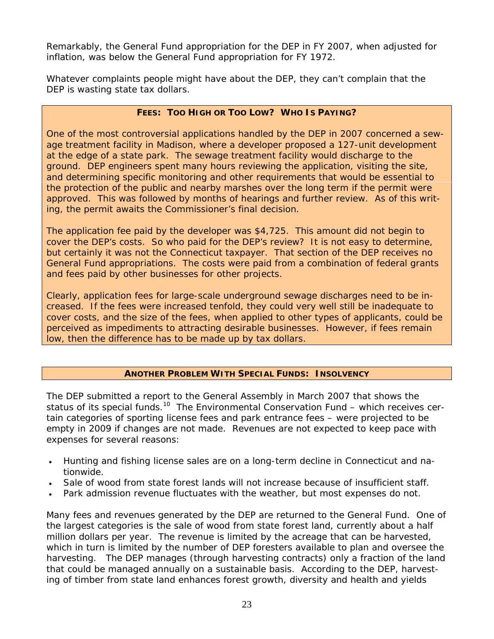Remarkably, the General Fund appropriation for the DEP in FY 2007, when adjusted for inflation, was below the General Fund appropriation for FY 1972.

Whatever complaints people might have about the DEP, they can't complain that the DEP is wasting state tax dollars.

### **FEES: TOO HIGH OR TOO LOW? WHO IS PAYING?**

One of the most controversial applications handled by the DEP in 2007 concerned a sewage treatment facility in Madison, where a developer proposed a 127-unit development at the edge of a state park. The sewage treatment facility would discharge to the ground. DEP engineers spent many hours reviewing the application, visiting the site, and determining specific monitoring and other requirements that would be essential to the protection of the public and nearby marshes over the long term if the permit were approved. This was followed by months of hearings and further review. As of this writing, the permit awaits the Commissioner's final decision.

The application fee paid by the developer was \$4,725. This amount did not begin to cover the DEP's costs. So who paid for the DEP's review? It is not easy to determine, but certainly it was not the Connecticut taxpayer. That section of the DEP receives no General Fund appropriations. The costs were paid from a combination of federal grants and fees paid by other businesses for other projects.

Clearly, application fees for large-scale underground sewage discharges need to be increased. If the fees were increased tenfold, they could very well still be inadequate to cover costs, and the size of the fees, when applied to other types of applicants, could be perceived as impediments to attracting desirable businesses. However, if fees remain low, then the difference has to be made up by tax dollars.

### **ANOTHER PROBLEM WITH SPECIAL FUNDS: INSOLVENCY**

The DEP submitted a report to the General Assembly in March 2007 that shows the status of its special funds.<sup>10</sup> The Environmental Conservation Fund – which receives certain categories of sporting license fees and park entrance fees – were projected to be empty in 2009 if changes are not made. Revenues are not expected to keep pace with expenses for several reasons:

- Hunting and fishing license sales are on a long-term decline in Connecticut and nationwide.
- Sale of wood from state forest lands will not increase because of insufficient staff.
- Park admission revenue fluctuates with the weather, but most expenses do not.

Many fees and revenues generated by the DEP are returned to the General Fund. One of the largest categories is the sale of wood from state forest land, currently about a half million dollars per year. The revenue is limited by the acreage that can be harvested, which in turn is limited by the number of DEP foresters available to plan and oversee the harvesting. The DEP manages (through harvesting contracts) only a fraction of the land that could be managed annually on a sustainable basis. According to the DEP, harvesting of timber from state land enhances forest growth, diversity and health and yields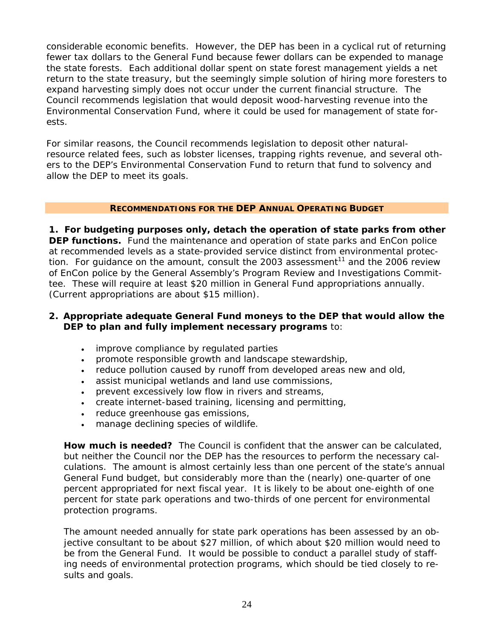considerable economic benefits. However, the DEP has been in a cyclical rut of returning fewer tax dollars to the General Fund because fewer dollars can be expended to manage the state forests. Each additional dollar spent on state forest management yields a net return to the state treasury, but the seemingly simple solution of hiring more foresters to expand harvesting simply does not occur under the current financial structure. The Council recommends legislation that would deposit wood-harvesting revenue into the Environmental Conservation Fund, where it could be used for management of state forests.

For similar reasons, the Council recommends legislation to deposit other naturalresource related fees, such as lobster licenses, trapping rights revenue, and several others to the DEP's Environmental Conservation Fund to return that fund to solvency and allow the DEP to meet its goals.

### **RECOMMENDATIONS FOR THE DEP ANNUAL OPERATING BUDGET**

**1. For budgeting purposes only, detach the operation of state parks from other DEP functions.** Fund the maintenance and operation of state parks and EnCon police at recommended levels as a state-provided service distinct from environmental protection. For guidance on the amount, consult the 2003 assessment<sup>11</sup> and the 2006 review of EnCon police by the General Assembly's Program Review and Investigations Committee. These will require at least \$20 million in General Fund appropriations annually. (Current appropriations are about \$15 million).

### **2. Appropriate adequate General Fund moneys to the DEP that would allow the DEP to plan and fully implement necessary programs** to:

- improve compliance by regulated parties
- promote responsible growth and landscape stewardship,
- reduce pollution caused by runoff from developed areas new and old,
- assist municipal wetlands and land use commissions,
- prevent excessively low flow in rivers and streams,
- create internet-based training, licensing and permitting,
- reduce greenhouse gas emissions,
- manage declining species of wildlife.

**How much is needed?** The Council is confident that the answer can be calculated, but neither the Council nor the DEP has the resources to perform the necessary calculations. The amount is almost certainly less than one percent of the state's annual General Fund budget, but considerably more than the (nearly) one-quarter of one percent appropriated for next fiscal year. It is likely to be about one-eighth of one percent for state park operations and two-thirds of one percent for environmental protection programs.

The amount needed annually for state park operations has been assessed by an objective consultant to be about \$27 million, of which about \$20 million would need to be from the General Fund. It would be possible to conduct a parallel study of staffing needs of environmental protection programs, which should be tied closely to results and goals.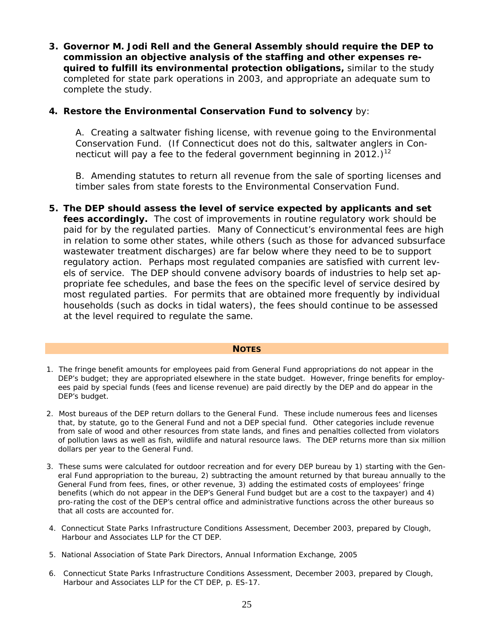**3. Governor M. Jodi Rell and the General Assembly should require the DEP to commission an objective analysis of the staffing and other expenses required to fulfill its environmental protection obligations,** similar to the study completed for state park operations in 2003, and appropriate an adequate sum to complete the study.

### **4. Restore the Environmental Conservation Fund to solvency** by:

A. Creating a saltwater fishing license, with revenue going to the Environmental Conservation Fund. (If Connecticut does not do this, saltwater anglers in Connecticut will pay a fee to the federal government beginning in 2012.)<sup>12</sup>

B. Amending statutes to return all revenue from the sale of sporting licenses and timber sales from state forests to the Environmental Conservation Fund.

**5. The DEP should assess the level of service expected by applicants and set fees accordingly.** The cost of improvements in routine regulatory work should be paid for by the regulated parties. Many of Connecticut's environmental fees are high in relation to some other states, while others (such as those for advanced subsurface wastewater treatment discharges) are far below where they need to be to support regulatory action. Perhaps most regulated companies are satisfied with current levels of service. The DEP should convene advisory boards of industries to help set appropriate fee schedules, and base the fees on the specific level of service desired by most regulated parties. For permits that are obtained more frequently by individual households (such as docks in tidal waters), the fees should continue to be assessed at the level required to regulate the same.

#### **NOTES**

- 1. The fringe benefit amounts for employees paid from General Fund appropriations do not appear in the DEP's budget; they are appropriated elsewhere in the state budget. However, fringe benefits for employees paid by special funds (fees and license revenue) are paid directly by the DEP and do appear in the DEP's budget.
- 2. Most bureaus of the DEP return dollars to the General Fund. These include numerous fees and licenses that, by statute, go to the General Fund and not a DEP special fund. Other categories include revenue from sale of wood and other resources from state lands, and fines and penalties collected from violators of pollution laws as well as fish, wildlife and natural resource laws. The DEP returns more than six million dollars per year to the General Fund.
- 3. These sums were calculated for outdoor recreation and for every DEP bureau by 1) starting with the General Fund appropriation to the bureau, 2) subtracting the amount returned by that bureau annually to the General Fund from fees, fines, or other revenue, 3) adding the estimated costs of employees' fringe benefits (which do not appear in the DEP's General Fund budget but are a cost to the taxpayer) and 4) pro-rating the cost of the DEP's central office and administrative functions across the other bureaus so that all costs are accounted for.
- 4. *Connecticut State Parks Infrastructure Conditions Assessment*, December 2003, prepared by Clough, Harbour and Associates LLP for the CT DEP.
- 5. National Association of State Park Directors, Annual Information Exchange, 2005
- 6. *Connecticut State Parks Infrastructure Conditions Assessment*, December 2003, prepared by Clough, Harbour and Associates LLP for the CT DEP, p. ES-17.